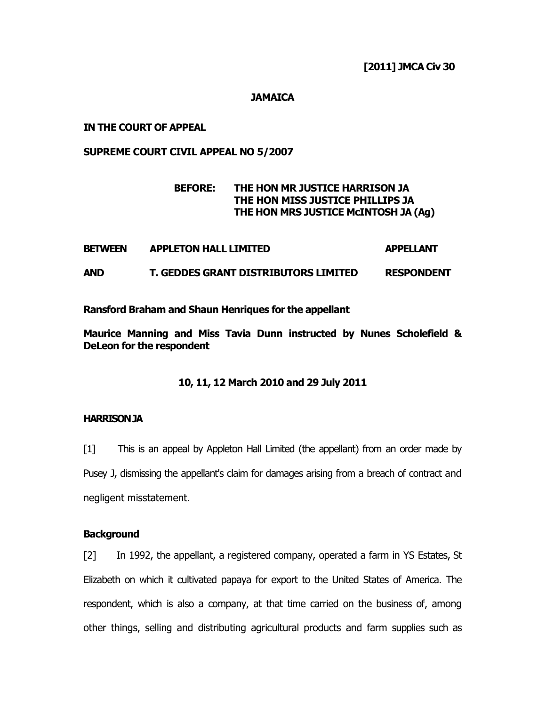[2011] JMCA Civ 30

### **JAMAICA**

### IN THE COURT OF APPEAL

### SUPREME COURT CIVIL APPEAL NO 5/2007

# BEFORE: THE HON MR JUSTICE HARRISON JA THE HON MISS JUSTICE PHILLIPS JA THE HON MRS JUSTICE McINTOSH JA (Ag)

| <b>BETWEEN</b> | <b>APPLETON HALL LIMITED</b>         | <b>APPELLANT</b>  |
|----------------|--------------------------------------|-------------------|
| <b>AND</b>     | T. GEDDES GRANT DISTRIBUTORS LIMITED | <b>RESPONDENT</b> |

Ransford Braham and Shaun Henriques for the appellant

Maurice Manning and Miss Tavia Dunn instructed by Nunes Scholefield & DeLeon for the respondent

## 10, 11, 12 March 2010 and 29 July 2011

### HARRISON JA

[1] This is an appeal by Appleton Hall Limited (the appellant) from an order made by Pusey J, dismissing the appellant's claim for damages arising from a breach of contract and negligent misstatement.

### **Background**

[2] In 1992, the appellant, a registered company, operated a farm in YS Estates, St Elizabeth on which it cultivated papaya for export to the United States of America. The respondent, which is also a company, at that time carried on the business of, among other things, selling and distributing agricultural products and farm supplies such as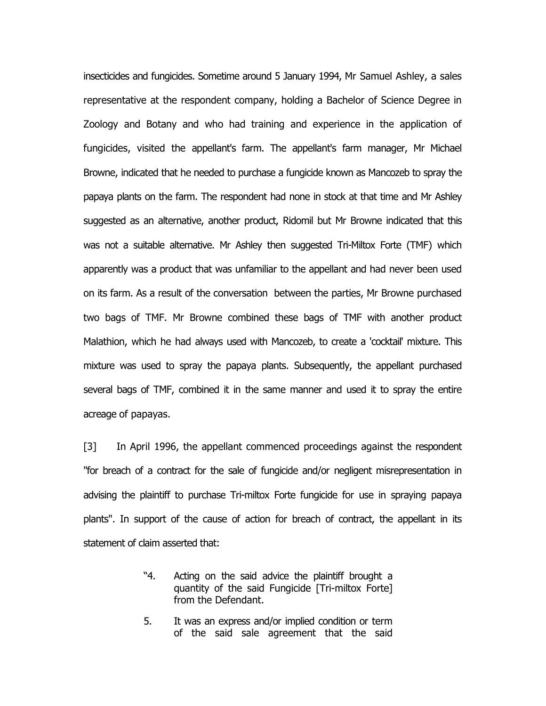insecticides and fungicides. Sometime around 5 January 1994, Mr Samuel Ashley, a sales representative at the respondent company, holding a Bachelor of Science Degree in Zoology and Botany and who had training and experience in the application of fungicides, visited the appellant's farm. The appellant's farm manager, Mr Michael Browne, indicated that he needed to purchase a fungicide known as Mancozeb to spray the papaya plants on the farm. The respondent had none in stock at that time and Mr Ashley suggested as an alternative, another product, Ridomil but Mr Browne indicated that this was not a suitable alternative. Mr Ashley then suggested Tri-Miltox Forte (TMF) which apparently was a product that was unfamiliar to the appellant and had never been used on its farm. As a result of the conversation between the parties, Mr Browne purchased two bags of TMF. Mr Browne combined these bags of TMF with another product Malathion, which he had always used with Mancozeb, to create a 'cocktail' mixture. This mixture was used to spray the papaya plants. Subsequently, the appellant purchased several bags of TMF, combined it in the same manner and used it to spray the entire acreage of papayas.

[3] In April 1996, the appellant commenced proceedings against the respondent "for breach of a contract for the sale of fungicide and/or negligent misrepresentation in advising the plaintiff to purchase Tri-miltox Forte fungicide for use in spraying papaya plants". In support of the cause of action for breach of contract, the appellant in its statement of claim asserted that:

- "4. Acting on the said advice the plaintiff brought a quantity of the said Fungicide [Tri-miltox Forte] from the Defendant.
- 5. It was an express and/or implied condition or term of the said sale agreement that the said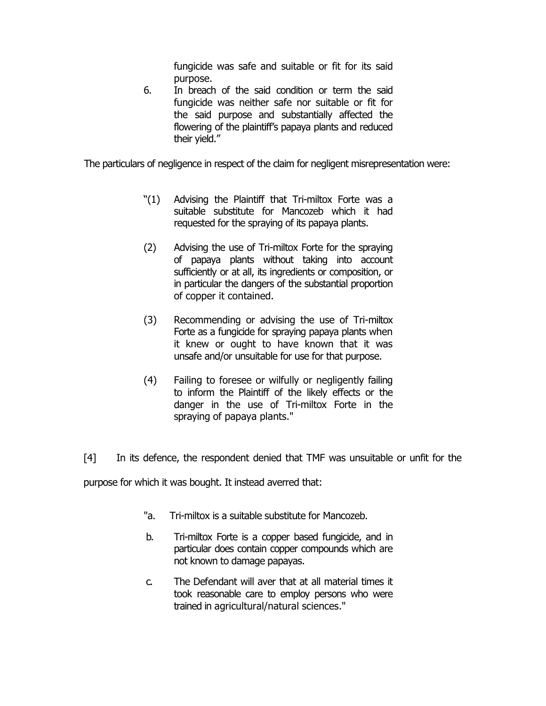fungicide was safe and suitable or fit for its said purpose.

6. In breach of the said condition or term the said fungicide was neither safe nor suitable or fit for the said purpose and substantially affected the flowering of the plaintiff's papaya plants and reduced their yield."

The particulars of negligence in respect of the claim for negligent misrepresentation were:

- "(1) Advising the Plaintiff that Tri-miltox Forte was a suitable substitute for Mancozeb which it had requested for the spraying of its papaya plants.
- (2) Advising the use of Tri-miltox Forte for the spraying of papaya plants without taking into account sufficiently or at all, its ingredients or composition, or in particular the dangers of the substantial proportion of copper it contained.
- (3) Recommending or advising the use of Tri-miltox Forte as a fungicide for spraying papaya plants when it knew or ought to have known that it was unsafe and/or unsuitable for use for that purpose.
- (4) Failing to foresee or wilfully or negligently failing to inform the Plaintiff of the likely effects or the danger in the use of Tri-miltox Forte in the spraying of papaya plants."
- [4] In its defence, the respondent denied that TMF was unsuitable or unfit for the

purpose for which it was bought. It instead averred that:

- "a. Tri-miltox is a suitable substitute for Mancozeb.
- b. Tri-miltox Forte is a copper based fungicide, and in particular does contain copper compounds which are not known to damage papayas.
- c. The Defendant will aver that at all material times it took reasonable care to employ persons who were trained in agricultural/natural sciences."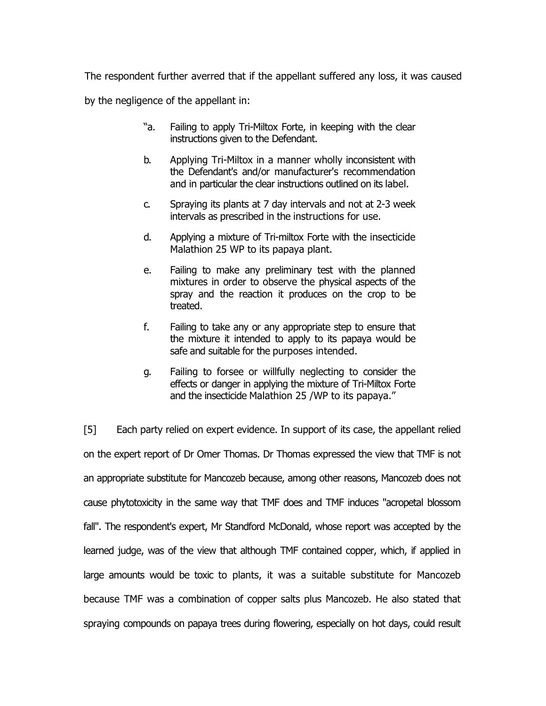The respondent further averred that if the appellant suffered any loss, it was caused

by the negligence of the appellant in:

- "a. Failing to apply Tri-Miltox Forte, in keeping with the clear instructions given to the Defendant.
- b. Applying Tri-Miltox in a manner wholly inconsistent with the Defendant's and/or manufacturer's recommendation and in particular the clear instructions outlined on its label.
- c. Spraying its plants at 7 day intervals and not at 2-3 week intervals as prescribed in the instructions for use.
- d. Applying a mixture of Tri-miltox Forte with the insecticide Malathion 25 WP to its papaya plant.
- e. Failing to make any preliminary test with the planned mixtures in order to observe the physical aspects of the spray and the reaction it produces on the crop to be treated.
- f. Failing to take any or any appropriate step to ensure that the mixture it intended to apply to its papaya would be safe and suitable for the purposes intended.
- g. Failing to forsee or willfully neglecting to consider the effects or danger in applying the mixture of Tri-Miltox Forte and the insecticide Malathion 25 /WP to its papaya."

[5] Each party relied on expert evidence. In support of its case, the appellant relied on the expert report of Dr Omer Thomas. Dr Thomas expressed the view that TMF is not an appropriate substitute for Mancozeb because, among other reasons, Mancozeb does not cause phytotoxicity in the same way that TMF does and TMF induces "acropetal blossom fall". The respondent's expert, Mr Standford McDonald, whose report was accepted by the learned judge, was of the view that although TMF contained copper, which, if applied in large amounts would be toxic to plants, it was a suitable substitute for Mancozeb because TMF was a combination of copper salts plus Mancozeb. He also stated that spraying compounds on papaya trees during flowering, especially on hot days, could result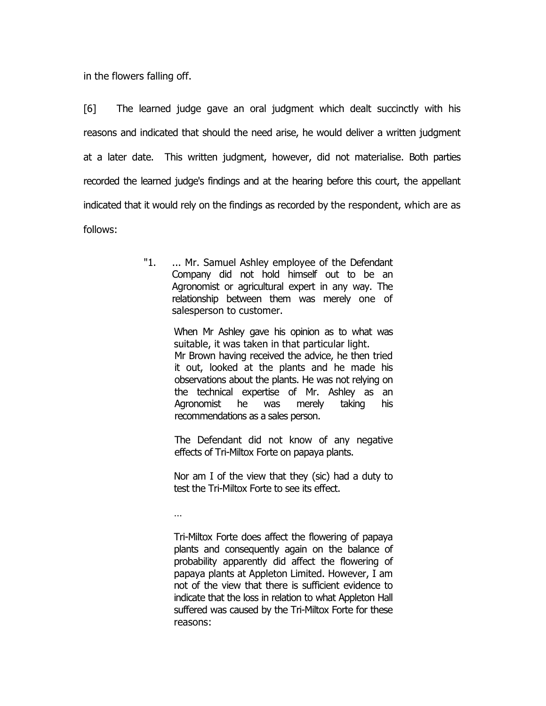in the flowers falling off.

[6] The learned judge gave an oral judgment which dealt succinctly with his reasons and indicated that should the need arise, he would deliver a written judgment at a later date. This written judgment, however, did not materialise. Both parties recorded the learned judge's findings and at the hearing before this court, the appellant indicated that it would rely on the findings as recorded by the respondent, which are as follows:

> "1. ... Mr. Samuel Ashley employee of the Defendant Company did not hold himself out to be an Agronomist or agricultural expert in any way. The relationship between them was merely one of salesperson to customer.

> > When Mr Ashley gave his opinion as to what was suitable, it was taken in that particular light. Mr Brown having received the advice, he then tried it out, looked at the plants and he made his observations about the plants. He was not relying on the technical expertise of Mr. Ashley as an Agronomist he was merely taking his recommendations as a sales person.

> > The Defendant did not know of any negative effects of Tri-Miltox Forte on papaya plants.

> > Nor am I of the view that they (sic) had a duty to test the Tri-Miltox Forte to see its effect.

…

Tri-Miltox Forte does affect the flowering of papaya plants and consequently again on the balance of probability apparently did affect the flowering of papaya plants at Appleton Limited. However, I am not of the view that there is sufficient evidence to indicate that the loss in relation to what Appleton Hall suffered was caused by the Tri-Miltox Forte for these reasons: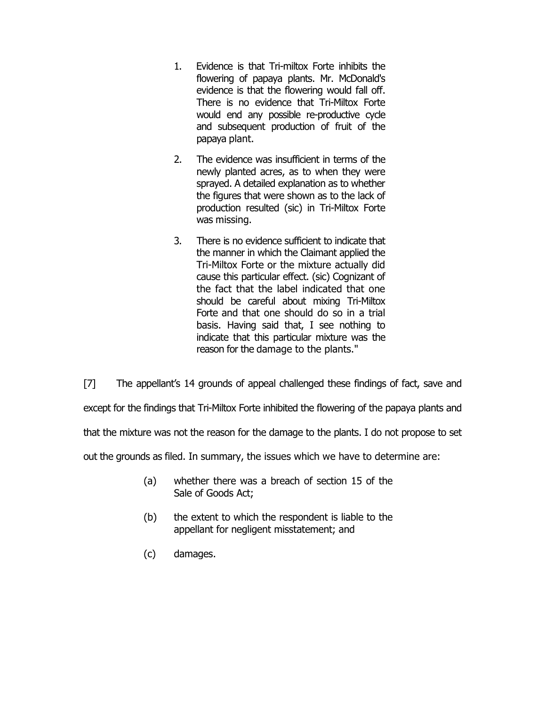- 1. Evidence is that Tri-miltox Forte inhibits the flowering of papaya plants. Mr. McDonald's evidence is that the flowering would fall off. There is no evidence that Tri-Miltox Forte would end any possible re-productive cycle and subsequent production of fruit of the papaya plant.
- 2. The evidence was insufficient in terms of the newly planted acres, as to when they were sprayed. A detailed explanation as to whether the figures that were shown as to the lack of production resulted (sic) in Tri-Miltox Forte was missing.
- 3. There is no evidence sufficient to indicate that the manner in which the Claimant applied the Tri-Miltox Forte or the mixture actually did cause this particular effect. (sic) Cognizant of the fact that the label indicated that one should be careful about mixing Tri-Miltox Forte and that one should do so in a trial basis. Having said that, I see nothing to indicate that this particular mixture was the reason for the damage to the plants."

[7] The appellant's 14 grounds of appeal challenged these findings of fact, save and except for the findings that Tri-Miltox Forte inhibited the flowering of the papaya plants and that the mixture was not the reason for the damage to the plants. I do not propose to set out the grounds as filed. In summary, the issues which we have to determine are:

- (a) whether there was a breach of section 15 of the Sale of Goods Act;
- (b) the extent to which the respondent is liable to the appellant for negligent misstatement; and
- (c) damages.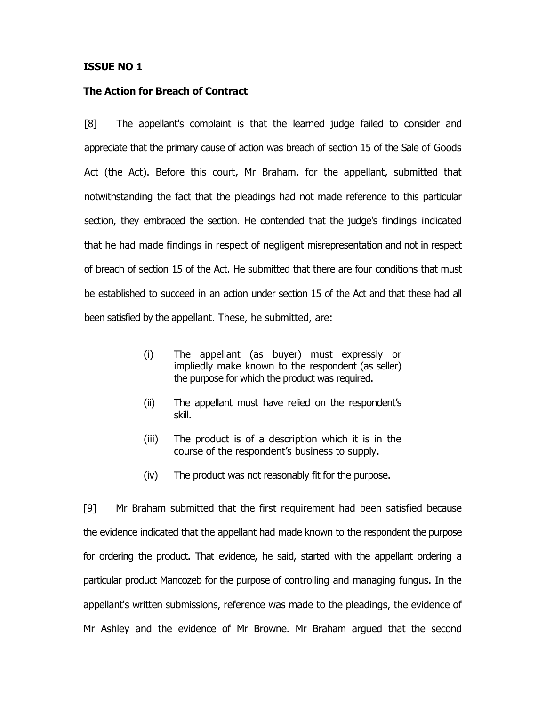### ISSUE NO 1

#### The Action for Breach of Contract

[8] The appellant's complaint is that the learned judge failed to consider and appreciate that the primary cause of action was breach of section 15 of the Sale of Goods Act (the Act). Before this court, Mr Braham, for the appellant, submitted that notwithstanding the fact that the pleadings had not made reference to this particular section, they embraced the section. He contended that the judge's findings indicated that he had made findings in respect of negligent misrepresentation and not in respect of breach of section 15 of the Act. He submitted that there are four conditions that must be established to succeed in an action under section 15 of the Act and that these had all been satisfied by the appellant. These, he submitted, are:

- (i) The appellant (as buyer) must expressly or impliedly make known to the respondent (as seller) the purpose for which the product was required.
- (ii) The appellant must have relied on the respondent's skill.
- (iii) The product is of a description which it is in the course of the respondent's business to supply.
- (iv) The product was not reasonably fit for the purpose.

[9] Mr Braham submitted that the first requirement had been satisfied because the evidence indicated that the appellant had made known to the respondent the purpose for ordering the product. That evidence, he said, started with the appellant ordering a particular product Mancozeb for the purpose of controlling and managing fungus. In the appellant's written submissions, reference was made to the pleadings, the evidence of Mr Ashley and the evidence of Mr Browne. Mr Braham argued that the second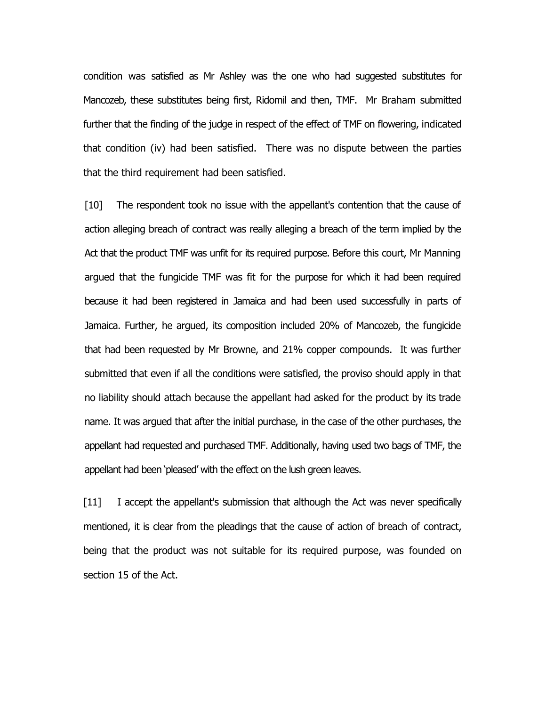condition was satisfied as Mr Ashley was the one who had suggested substitutes for Mancozeb, these substitutes being first, Ridomil and then, TMF. Mr Braham submitted further that the finding of the judge in respect of the effect of TMF on flowering, indicated that condition (iv) had been satisfied. There was no dispute between the parties that the third requirement had been satisfied.

[10] The respondent took no issue with the appellant's contention that the cause of action alleging breach of contract was really alleging a breach of the term implied by the Act that the product TMF was unfit for its required purpose. Before this court, Mr Manning argued that the fungicide TMF was fit for the purpose for which it had been required because it had been registered in Jamaica and had been used successfully in parts of Jamaica. Further, he argued, its composition included 20% of Mancozeb, the fungicide that had been requested by Mr Browne, and 21% copper compounds. It was further submitted that even if all the conditions were satisfied, the proviso should apply in that no liability should attach because the appellant had asked for the product by its trade name. It was argued that after the initial purchase, in the case of the other purchases, the appellant had requested and purchased TMF. Additionally, having used two bags of TMF, the appellant had been 'pleased' with the effect on the lush green leaves.

[11] I accept the appellant's submission that although the Act was never specifically mentioned, it is clear from the pleadings that the cause of action of breach of contract, being that the product was not suitable for its required purpose, was founded on section 15 of the Act.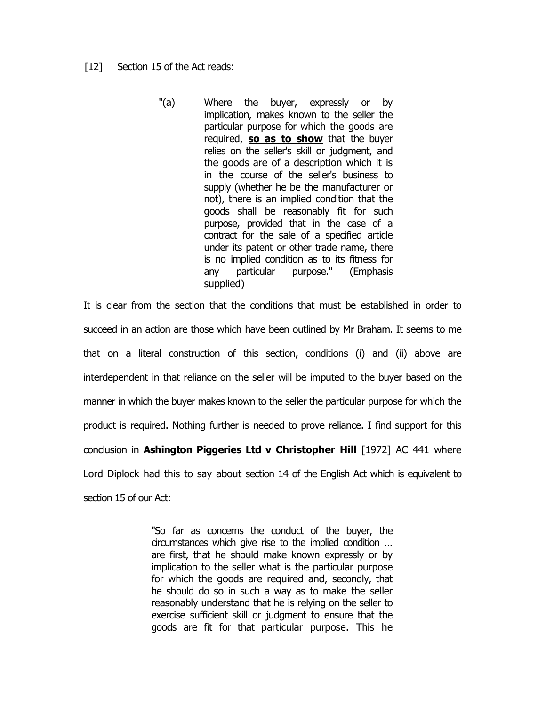- [12] Section 15 of the Act reads:
	- "(a) Where the buyer, expressly or by implication, makes known to the seller the particular purpose for which the goods are required, so as to show that the buyer relies on the seller's skill or judgment, and the goods are of a description which it is in the course of the seller's business to supply (whether he be the manufacturer or not), there is an implied condition that the goods shall be reasonably fit for such purpose, provided that in the case of a contract for the sale of a specified article under its patent or other trade name, there is no implied condition as to its fitness for any particular purpose." (Emphasis supplied)

It is clear from the section that the conditions that must be established in order to succeed in an action are those which have been outlined by Mr Braham. It seems to me that on a literal construction of this section, conditions (i) and (ii) above are interdependent in that reliance on the seller will be imputed to the buyer based on the manner in which the buyer makes known to the seller the particular purpose for which the product is required. Nothing further is needed to prove reliance. I find support for this conclusion in Ashington Piggeries Ltd v Christopher Hill [1972] AC 441 where Lord Diplock had this to say about section 14 of the English Act which is equivalent to section 15 of our Act:

> "So far as concerns the conduct of the buyer, the circumstances which give rise to the implied condition ... are first, that he should make known expressly or by implication to the seller what is the particular purpose for which the goods are required and, secondly, that he should do so in such a way as to make the seller reasonably understand that he is relying on the seller to exercise sufficient skill or judgment to ensure that the goods are fit for that particular purpose. This he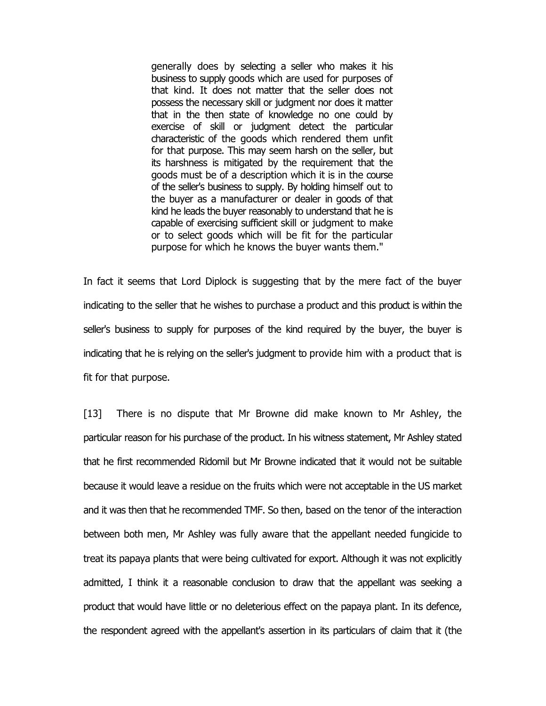generally does by selecting a seller who makes it his business to supply goods which are used for purposes of that kind. It does not matter that the seller does not possess the necessary skill or judgment nor does it matter that in the then state of knowledge no one could by exercise of skill or judgment detect the particular characteristic of the goods which rendered them unfit for that purpose. This may seem harsh on the seller, but its harshness is mitigated by the requirement that the goods must be of a description which it is in the course of the seller's business to supply. By holding himself out to the buyer as a manufacturer or dealer in goods of that kind he leads the buyer reasonably to understand that he is capable of exercising sufficient skill or judgment to make or to select goods which will be fit for the particular purpose for which he knows the buyer wants them."

In fact it seems that Lord Diplock is suggesting that by the mere fact of the buyer indicating to the seller that he wishes to purchase a product and this product is within the seller's business to supply for purposes of the kind required by the buyer, the buyer is indicating that he is relying on the seller's judgment to provide him with a product that is fit for that purpose.

[13] There is no dispute that Mr Browne did make known to Mr Ashley, the particular reason for his purchase of the product. In his witness statement, Mr Ashley stated that he first recommended Ridomil but Mr Browne indicated that it would not be suitable because it would leave a residue on the fruits which were not acceptable in the US market and it was then that he recommended TMF. So then, based on the tenor of the interaction between both men, Mr Ashley was fully aware that the appellant needed fungicide to treat its papaya plants that were being cultivated for export. Although it was not explicitly admitted, I think it a reasonable conclusion to draw that the appellant was seeking a product that would have little or no deleterious effect on the papaya plant. In its defence, the respondent agreed with the appellant's assertion in its particulars of claim that it (the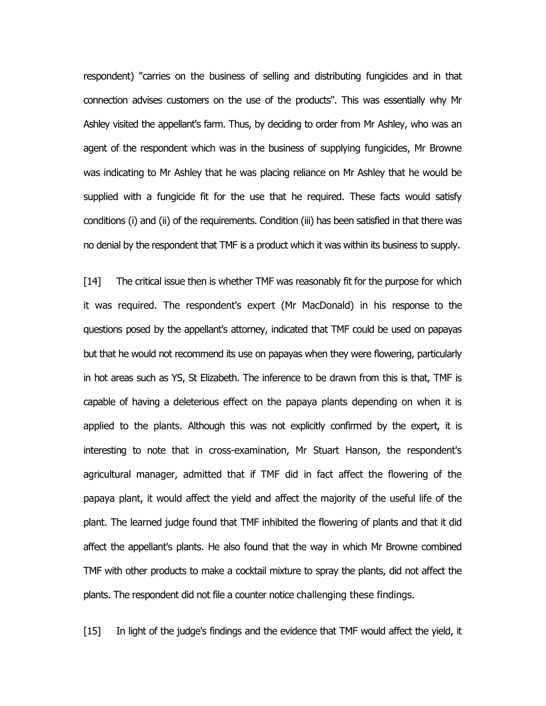respondent) "carries on the business of selling and distributing fungicides and in that connection advises customers on the use of the products". This was essentially why Mr Ashley visited the appellant's farm. Thus, by deciding to order from Mr Ashley, who was an agent of the respondent which was in the business of supplying fungicides, Mr Browne was indicating to Mr Ashley that he was placing reliance on Mr Ashley that he would be supplied with a fungicide fit for the use that he required. These facts would satisfy conditions (i) and (ii) of the requirements. Condition (iii) has been satisfied in that there was no denial by the respondent that TMF is a product which it was within its business to supply.

[14] The critical issue then is whether TMF was reasonably fit for the purpose for which it was required. The respondent's expert (Mr MacDonald) in his response to the questions posed by the appellant's attorney, indicated that TMF could be used on papayas but that he would not recommend its use on papayas when they were flowering, particularly in hot areas such as YS, St Elizabeth. The inference to be drawn from this is that, TMF is capable of having a deleterious effect on the papaya plants depending on when it is applied to the plants. Although this was not explicitly confirmed by the expert, it is interesting to note that in cross-examination, Mr Stuart Hanson, the respondent's agricultural manager, admitted that if TMF did in fact affect the flowering of the papaya plant, it would affect the yield and affect the majority of the useful life of the plant. The learned judge found that TMF inhibited the flowering of plants and that it did affect the appellant's plants. He also found that the way in which Mr Browne combined TMF with other products to make a cocktail mixture to spray the plants, did not affect the plants. The respondent did not file a counter notice challenging these findings.

[15] In light of the judge's findings and the evidence that TMF would affect the yield, it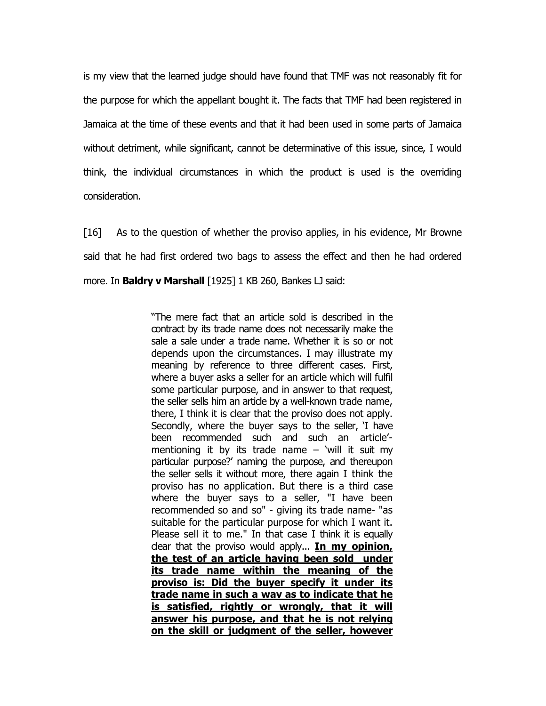is my view that the learned judge should have found that TMF was not reasonably fit for the purpose for which the appellant bought it. The facts that TMF had been registered in Jamaica at the time of these events and that it had been used in some parts of Jamaica without detriment, while significant, cannot be determinative of this issue, since, I would think, the individual circumstances in which the product is used is the overriding consideration.

[16] As to the question of whether the proviso applies, in his evidence, Mr Browne said that he had first ordered two bags to assess the effect and then he had ordered more. In **Baldry v Marshall** [1925] 1 KB 260, Bankes LJ said:

> "The mere fact that an article sold is described in the contract by its trade name does not necessarily make the sale a sale under a trade name. Whether it is so or not depends upon the circumstances. I may illustrate my meaning by reference to three different cases. First, where a buyer asks a seller for an article which will fulfil some particular purpose, and in answer to that request, the seller sells him an article by a well-known trade name, there, I think it is clear that the proviso does not apply. Secondly, where the buyer says to the seller, 'I have been recommended such and such an article' mentioning it by its trade name  $-$  'will it suit my particular purpose?' naming the purpose, and thereupon the seller sells it without more, there again I think the proviso has no application. But there is a third case where the buyer says to a seller, "I have been recommended so and so" - giving its trade name- "as suitable for the particular purpose for which I want it. Please sell it to me." In that case I think it is equally clear that the proviso would apply... **In my opinion**, the test of an article having been sold under its trade name within the meaning of the proviso is: Did the buyer specify it under its trade name in such a wav as to indicate that he is satisfied, rightly or wrongly, that it will answer his purpose, and that he is not relying on the skill or judgment of the seller, however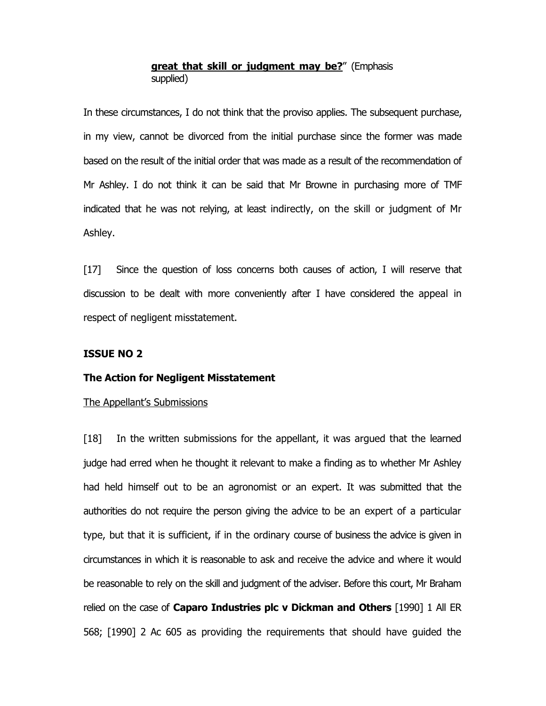## great that skill or judgment may be?" (Emphasis supplied)

In these circumstances, I do not think that the proviso applies. The subsequent purchase, in my view, cannot be divorced from the initial purchase since the former was made based on the result of the initial order that was made as a result of the recommendation of Mr Ashley. I do not think it can be said that Mr Browne in purchasing more of TMF indicated that he was not relying, at least indirectly, on the skill or judgment of Mr Ashley.

[17] Since the question of loss concerns both causes of action, I will reserve that discussion to be dealt with more conveniently after I have considered the appeal in respect of negligent misstatement.

## ISSUE NO 2

### The Action for Negligent Misstatement

#### The Appellant's Submissions

[18] In the written submissions for the appellant, it was argued that the learned judge had erred when he thought it relevant to make a finding as to whether Mr Ashley had held himself out to be an agronomist or an expert. It was submitted that the authorities do not require the person giving the advice to be an expert of a particular type, but that it is sufficient, if in the ordinary course of business the advice is given in circumstances in which it is reasonable to ask and receive the advice and where it would be reasonable to rely on the skill and judgment of the adviser. Before this court, Mr Braham relied on the case of **Caparo Industries plc v Dickman and Others** [1990] 1 All ER 568; [1990] 2 Ac 605 as providing the requirements that should have guided the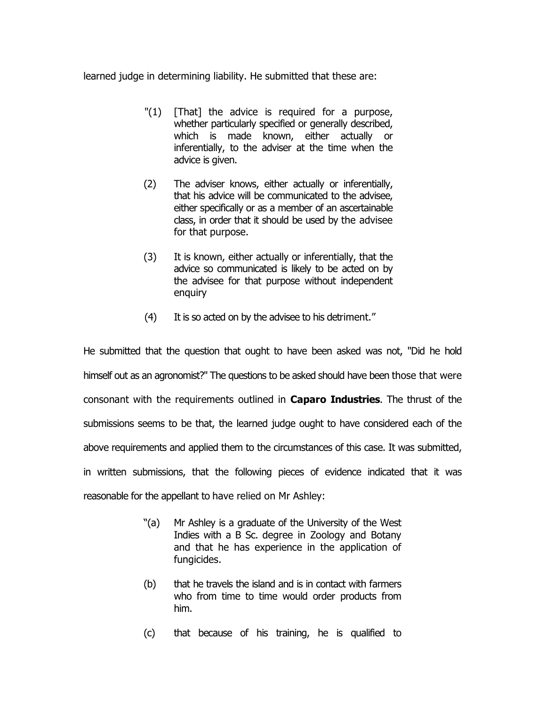learned judge in determining liability. He submitted that these are:

- "(1) [That] the advice is required for a purpose, whether particularly specified or generally described, which is made known, either actually or inferentially, to the adviser at the time when the advice is given.
- (2) The adviser knows, either actually or inferentially, that his advice will be communicated to the advisee, either specifically or as a member of an ascertainable class, in order that it should be used by the advisee for that purpose.
- (3) It is known, either actually or inferentially, that the advice so communicated is likely to be acted on by the advisee for that purpose without independent enquiry
- (4) It is so acted on by the advisee to his detriment."

He submitted that the question that ought to have been asked was not, "Did he hold himself out as an agronomist?" The questions to be asked should have been those that were consonant with the requirements outlined in **Caparo Industries**. The thrust of the submissions seems to be that, the learned judge ought to have considered each of the above requirements and applied them to the circumstances of this case. It was submitted, in written submissions, that the following pieces of evidence indicated that it was reasonable for the appellant to have relied on Mr Ashley:

- "(a) Mr Ashley is a graduate of the University of the West Indies with a B Sc. degree in Zoology and Botany and that he has experience in the application of fungicides.
- (b) that he travels the island and is in contact with farmers who from time to time would order products from him.
- (c) that because of his training, he is qualified to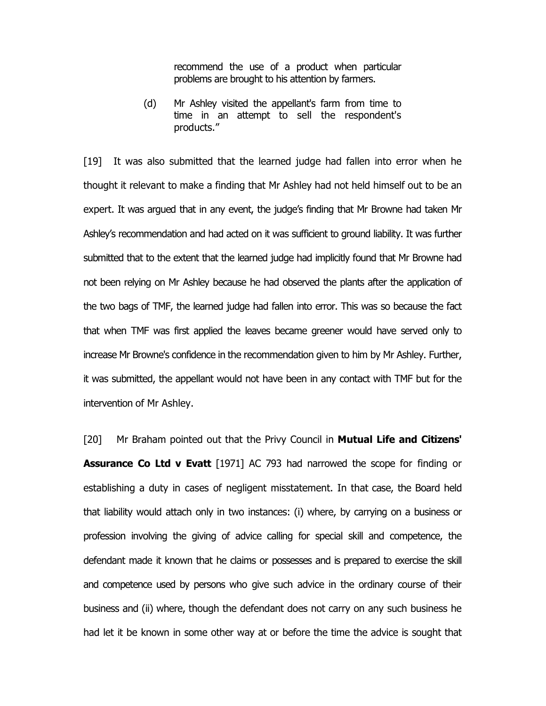recommend the use of a product when particular problems are brought to his attention by farmers.

(d) Mr Ashley visited the appellant's farm from time to time in an attempt to sell the respondent's products."

[19] It was also submitted that the learned judge had fallen into error when he thought it relevant to make a finding that Mr Ashley had not held himself out to be an expert. It was argued that in any event, the judge's finding that Mr Browne had taken Mr Ashley's recommendation and had acted on it was sufficient to ground liability. It was further submitted that to the extent that the learned judge had implicitly found that Mr Browne had not been relying on Mr Ashley because he had observed the plants after the application of the two bags of TMF, the learned judge had fallen into error. This was so because the fact that when TMF was first applied the leaves became greener would have served only to increase Mr Browne's confidence in the recommendation given to him by Mr Ashley. Further, it was submitted, the appellant would not have been in any contact with TMF but for the intervention of Mr Ashley.

[20] Mr Braham pointed out that the Privy Council in **Mutual Life and Citizens' Assurance Co Ltd v Evatt** [1971] AC 793 had narrowed the scope for finding or establishing a duty in cases of negligent misstatement. In that case, the Board held that liability would attach only in two instances: (i) where, by carrying on a business or profession involving the giving of advice calling for special skill and competence, the defendant made it known that he claims or possesses and is prepared to exercise the skill and competence used by persons who give such advice in the ordinary course of their business and (ii) where, though the defendant does not carry on any such business he had let it be known in some other way at or before the time the advice is sought that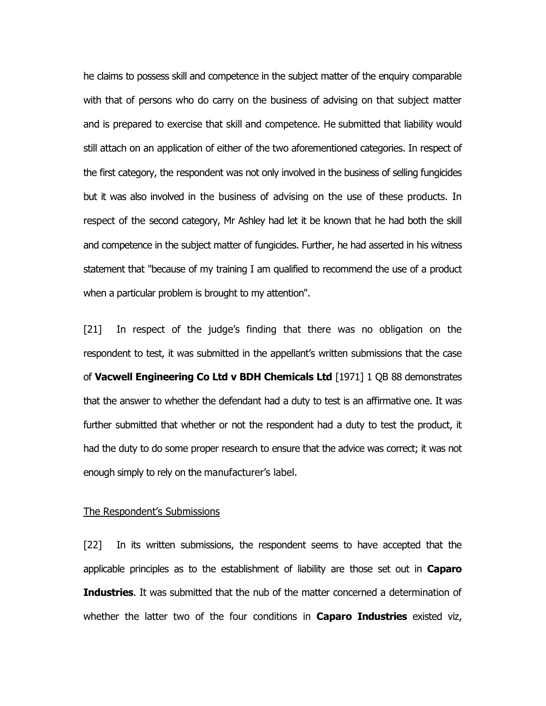he claims to possess skill and competence in the subject matter of the enquiry comparable with that of persons who do carry on the business of advising on that subject matter and is prepared to exercise that skill and competence. He submitted that liability would still attach on an application of either of the two aforementioned categories. In respect of the first category, the respondent was not only involved in the business of selling fungicides but it was also involved in the business of advising on the use of these products. In respect of the second category, Mr Ashley had let it be known that he had both the skill and competence in the subject matter of fungicides. Further, he had asserted in his witness statement that "because of my training I am qualified to recommend the use of a product when a particular problem is brought to my attention".

[21] In respect of the judge's finding that there was no obligation on the respondent to test, it was submitted in the appellant's written submissions that the case of Vacwell Engineering Co Ltd v BDH Chemicals Ltd [1971] 1 QB 88 demonstrates that the answer to whether the defendant had a duty to test is an affirmative one. It was further submitted that whether or not the respondent had a duty to test the product, it had the duty to do some proper research to ensure that the advice was correct; it was not enough simply to rely on the manufacturer's label.

### The Respondent's Submissions

[22] In its written submissions, the respondent seems to have accepted that the applicable principles as to the establishment of liability are those set out in **Caparo Industries.** It was submitted that the nub of the matter concerned a determination of whether the latter two of the four conditions in **Caparo Industries** existed viz,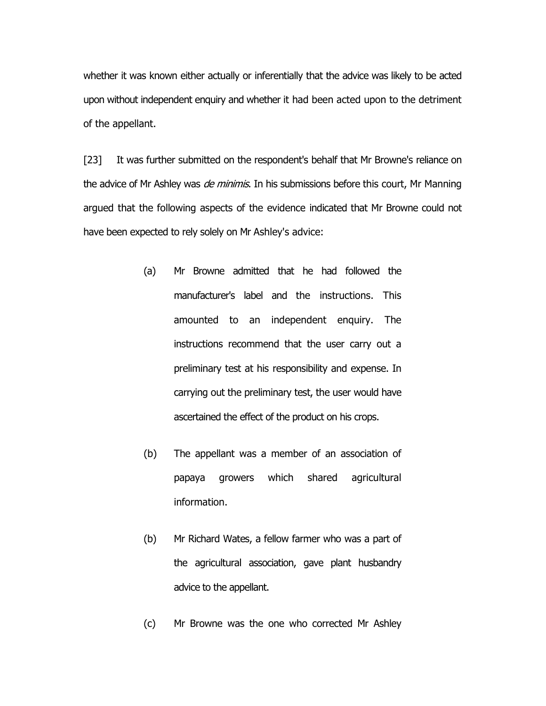whether it was known either actually or inferentially that the advice was likely to be acted upon without independent enquiry and whether it had been acted upon to the detriment of the appellant.

[23] It was further submitted on the respondent's behalf that Mr Browne's reliance on the advice of Mr Ashley was *de minimis*. In his submissions before this court, Mr Manning argued that the following aspects of the evidence indicated that Mr Browne could not have been expected to rely solely on Mr Ashley's advice:

- (a) Mr Browne admitted that he had followed the manufacturer's label and the instructions. This amounted to an independent enquiry. The instructions recommend that the user carry out a preliminary test at his responsibility and expense. In carrying out the preliminary test, the user would have ascertained the effect of the product on his crops.
- (b) The appellant was a member of an association of papaya growers which shared agricultural information.
- (b) Mr Richard Wates, a fellow farmer who was a part of the agricultural association, gave plant husbandry advice to the appellant.
- (c) Mr Browne was the one who corrected Mr Ashley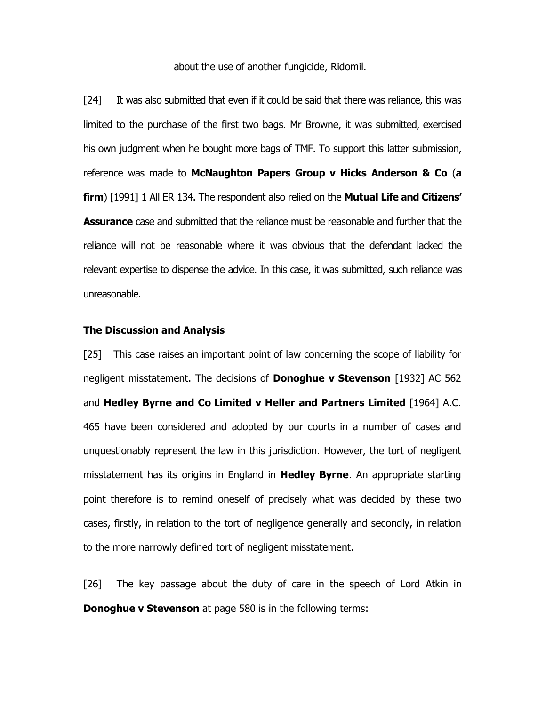about the use of another fungicide, Ridomil.

[24] It was also submitted that even if it could be said that there was reliance, this was limited to the purchase of the first two bags. Mr Browne, it was submitted, exercised his own judgment when he bought more bags of TMF. To support this latter submission, reference was made to McNaughton Papers Group v Hicks Anderson & Co (a firm) [1991] 1 All ER 134. The respondent also relied on the **Mutual Life and Citizens' Assurance** case and submitted that the reliance must be reasonable and further that the reliance will not be reasonable where it was obvious that the defendant lacked the relevant expertise to dispense the advice. In this case, it was submitted, such reliance was unreasonable.

### The Discussion and Analysis

[25] This case raises an important point of law concerning the scope of liability for negligent misstatement. The decisions of **Donoghue v Stevenson** [1932] AC 562 and Hedley Byrne and Co Limited v Heller and Partners Limited [1964] A.C. 465 have been considered and adopted by our courts in a number of cases and unquestionably represent the law in this jurisdiction. However, the tort of negligent misstatement has its origins in England in Hedley Byrne. An appropriate starting point therefore is to remind oneself of precisely what was decided by these two cases, firstly, in relation to the tort of negligence generally and secondly, in relation to the more narrowly defined tort of negligent misstatement.

[26] The key passage about the duty of care in the speech of Lord Atkin in **Donoghue v Stevenson** at page 580 is in the following terms: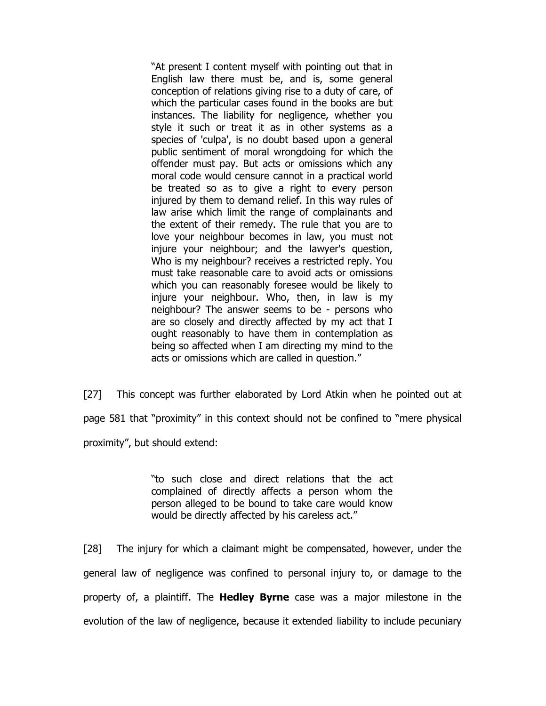"At present I content myself with pointing out that in English law there must be, and is, some general conception of relations giving rise to a duty of care, of which the particular cases found in the books are but instances. The liability for negligence, whether you style it such or treat it as in other systems as a species of 'culpa', is no doubt based upon a general public sentiment of moral wrongdoing for which the offender must pay. But acts or omissions which any moral code would censure cannot in a practical world be treated so as to give a right to every person injured by them to demand relief. In this way rules of law arise which limit the range of complainants and the extent of their remedy. The rule that you are to love your neighbour becomes in law, you must not injure your neighbour; and the lawyer's question, Who is my neighbour? receives a restricted reply. You must take reasonable care to avoid acts or omissions which you can reasonably foresee would be likely to injure your neighbour. Who, then, in law is my neighbour? The answer seems to be - persons who are so closely and directly affected by my act that I ought reasonably to have them in contemplation as being so affected when I am directing my mind to the acts or omissions which are called in question."

[27] This concept was further elaborated by Lord Atkin when he pointed out at page 581 that "proximity" in this context should not be confined to "mere physical proximity", but should extend:

> "to such close and direct relations that the act complained of directly affects a person whom the person alleged to be bound to take care would know would be directly affected by his careless act."

[28] The injury for which a claimant might be compensated, however, under the general law of negligence was confined to personal injury to, or damage to the property of, a plaintiff. The **Hedley Byrne** case was a major milestone in the evolution of the law of negligence, because it extended liability to include pecuniary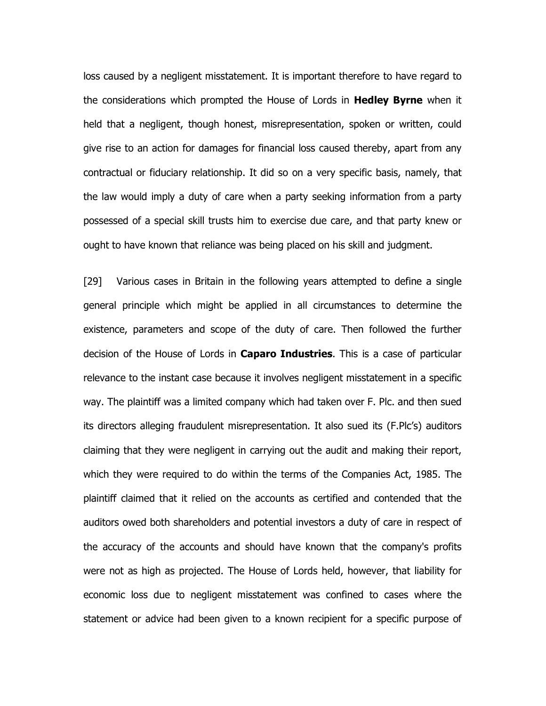loss caused by a negligent misstatement. It is important therefore to have regard to the considerations which prompted the House of Lords in Hedley Byrne when it held that a negligent, though honest, misrepresentation, spoken or written, could give rise to an action for damages for financial loss caused thereby, apart from any contractual or fiduciary relationship. It did so on a very specific basis, namely, that the law would imply a duty of care when a party seeking information from a party possessed of a special skill trusts him to exercise due care, and that party knew or ought to have known that reliance was being placed on his skill and judgment.

[29] Various cases in Britain in the following years attempted to define a single general principle which might be applied in all circumstances to determine the existence, parameters and scope of the duty of care. Then followed the further decision of the House of Lords in **Caparo Industries**. This is a case of particular relevance to the instant case because it involves negligent misstatement in a specific way. The plaintiff was a limited company which had taken over F. Plc. and then sued its directors alleging fraudulent misrepresentation. It also sued its (F.Plc's) auditors claiming that they were negligent in carrying out the audit and making their report, which they were required to do within the terms of the Companies Act, 1985. The plaintiff claimed that it relied on the accounts as certified and contended that the auditors owed both shareholders and potential investors a duty of care in respect of the accuracy of the accounts and should have known that the company's profits were not as high as projected. The House of Lords held, however, that liability for economic loss due to negligent misstatement was confined to cases where the statement or advice had been given to a known recipient for a specific purpose of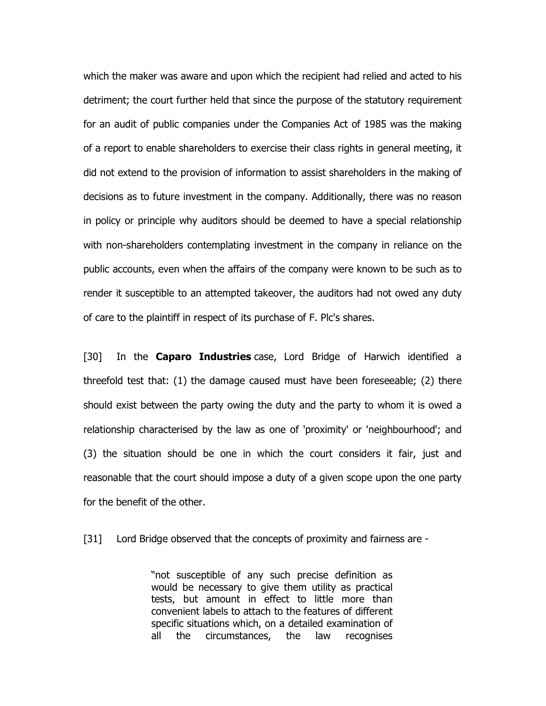which the maker was aware and upon which the recipient had relied and acted to his detriment; the court further held that since the purpose of the statutory requirement for an audit of public companies under the Companies Act of 1985 was the making of a report to enable shareholders to exercise their class rights in general meeting, it did not extend to the provision of information to assist shareholders in the making of decisions as to future investment in the company. Additionally, there was no reason in policy or principle why auditors should be deemed to have a special relationship with non-shareholders contemplating investment in the company in reliance on the public accounts, even when the affairs of the company were known to be such as to render it susceptible to an attempted takeover, the auditors had not owed any duty of care to the plaintiff in respect of its purchase of F. Plc's shares.

[30] In the **Caparo Industries** case, Lord Bridge of Harwich identified a threefold test that: (1) the damage caused must have been foreseeable; (2) there should exist between the party owing the duty and the party to whom it is owed a relationship characterised by the law as one of 'proximity' or 'neighbourhood'; and (3) the situation should be one in which the court considers it fair, just and reasonable that the court should impose a duty of a given scope upon the one party for the benefit of the other.

[31] Lord Bridge observed that the concepts of proximity and fairness are -

"not susceptible of any such precise definition as would be necessary to give them utility as practical tests, but amount in effect to little more than convenient labels to attach to the features of different specific situations which, on a detailed examination of all the circumstances, the law recognises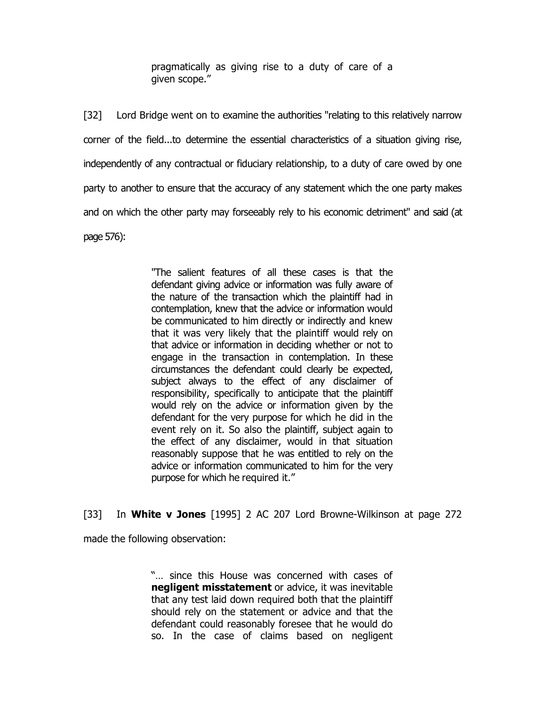pragmatically as giving rise to a duty of care of a given scope."

[32] Lord Bridge went on to examine the authorities "relating to this relatively narrow corner of the field...to determine the essential characteristics of a situation giving rise, independently of any contractual or fiduciary relationship, to a duty of care owed by one party to another to ensure that the accuracy of any statement which the one party makes and on which the other party may forseeably rely to his economic detriment" and said (at page 576):

> "The salient features of all these cases is that the defendant giving advice or information was fully aware of the nature of the transaction which the plaintiff had in contemplation, knew that the advice or information would be communicated to him directly or indirectly and knew that it was very likely that the plaintiff would rely on that advice or information in deciding whether or not to engage in the transaction in contemplation. In these circumstances the defendant could clearly be expected, subject always to the effect of any disclaimer of responsibility, specifically to anticipate that the plaintiff would rely on the advice or information given by the defendant for the very purpose for which he did in the event rely on it. So also the plaintiff, subject again to the effect of any disclaimer, would in that situation reasonably suppose that he was entitled to rely on the advice or information communicated to him for the very purpose for which he required it."

[33] In White v Jones [1995] 2 AC 207 Lord Browne-Wilkinson at page 272

made the following observation:

"… since this House was concerned with cases of **negligent misstatement** or advice, it was inevitable that any test laid down required both that the plaintiff should rely on the statement or advice and that the defendant could reasonably foresee that he would do so. In the case of claims based on negligent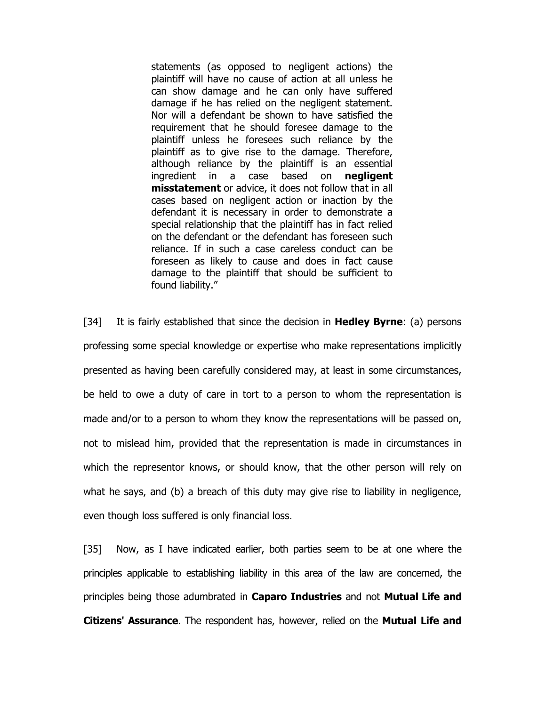statements (as opposed to negligent actions) the plaintiff will have no cause of action at all unless he can show damage and he can only have suffered damage if he has relied on the negligent statement. Nor will a defendant be shown to have satisfied the requirement that he should foresee damage to the plaintiff unless he foresees such reliance by the plaintiff as to give rise to the damage. Therefore, although reliance by the plaintiff is an essential ingredient in a case based on **negligent** misstatement or advice, it does not follow that in all cases based on negligent action or inaction by the defendant it is necessary in order to demonstrate a special relationship that the plaintiff has in fact relied on the defendant or the defendant has foreseen such reliance. If in such a case careless conduct can be foreseen as likely to cause and does in fact cause damage to the plaintiff that should be sufficient to found liability."

[34] It is fairly established that since the decision in **Hedley Byrne**: (a) persons professing some special knowledge or expertise who make representations implicitly presented as having been carefully considered may, at least in some circumstances, be held to owe a duty of care in tort to a person to whom the representation is made and/or to a person to whom they know the representations will be passed on, not to mislead him, provided that the representation is made in circumstances in which the representor knows, or should know, that the other person will rely on what he says, and (b) a breach of this duty may give rise to liability in negligence, even though loss suffered is only financial loss.

[35] Now, as I have indicated earlier, both parties seem to be at one where the principles applicable to establishing liability in this area of the law are concerned, the principles being those adumbrated in **Caparo Industries** and not **Mutual Life and** Citizens' Assurance. The respondent has, however, relied on the Mutual Life and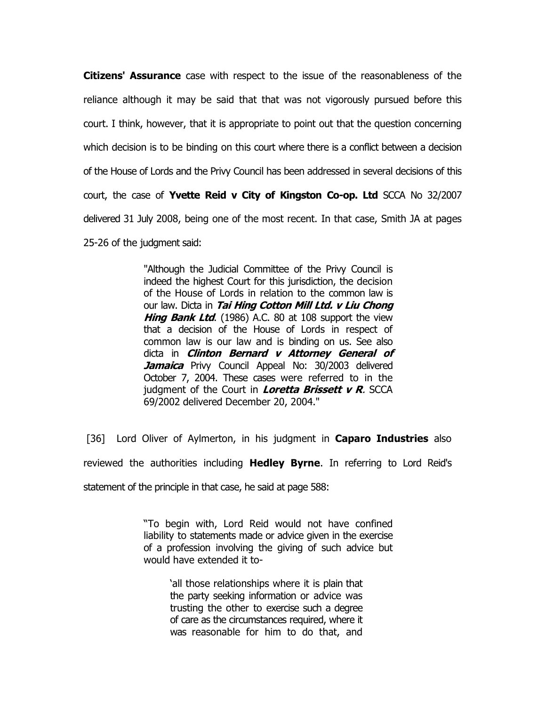**Citizens' Assurance** case with respect to the issue of the reasonableness of the reliance although it may be said that that was not vigorously pursued before this court. I think, however, that it is appropriate to point out that the question concerning which decision is to be binding on this court where there is a conflict between a decision of the House of Lords and the Privy Council has been addressed in several decisions of this court, the case of Yvette Reid v City of Kingston Co-op. Ltd SCCA No 32/2007 delivered 31 July 2008, being one of the most recent. In that case, Smith JA at pages 25-26 of the judgment said:

> "Although the Judicial Committee of the Privy Council is indeed the highest Court for this jurisdiction, the decision of the House of Lords in relation to the common law is our law. Dicta in Tai Hing Cotton Mill Ltd. v Liu Chong **Hing Bank Ltd.** (1986) A.C. 80 at 108 support the view that a decision of the House of Lords in respect of common law is our law and is binding on us. See also dicta in *Clinton Bernard v Attorney General of* Jamaica Privy Council Appeal No: 30/2003 delivered October 7, 2004. These cases were referred to in the judgment of the Court in **Loretta Brissett**  $v$  **R**. SCCA 69/2002 delivered December 20, 2004."

[36] Lord Oliver of Aylmerton, in his judgment in **Caparo Industries** also reviewed the authorities including **Hedley Byrne**. In referring to Lord Reid's statement of the principle in that case, he said at page 588:

> "To begin with, Lord Reid would not have confined liability to statements made or advice given in the exercise of a profession involving the giving of such advice but would have extended it to-

> > 'all those relationships where it is plain that the party seeking information or advice was trusting the other to exercise such a degree of care as the circumstances required, where it was reasonable for him to do that, and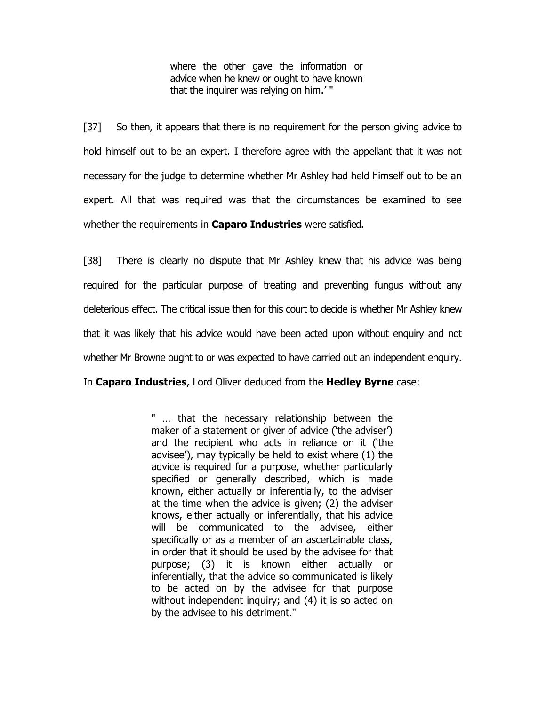where the other gave the information or advice when he knew or ought to have known that the inquirer was relying on him.' "

[37] So then, it appears that there is no requirement for the person giving advice to hold himself out to be an expert. I therefore agree with the appellant that it was not necessary for the judge to determine whether Mr Ashley had held himself out to be an expert. All that was required was that the circumstances be examined to see whether the requirements in **Caparo Industries** were satisfied.

[38] There is clearly no dispute that Mr Ashley knew that his advice was being required for the particular purpose of treating and preventing fungus without any deleterious effect. The critical issue then for this court to decide is whether Mr Ashley knew that it was likely that his advice would have been acted upon without enquiry and not whether Mr Browne ought to or was expected to have carried out an independent enquiry.

In Caparo Industries, Lord Oliver deduced from the Hedley Byrne case:

" … that the necessary relationship between the maker of a statement or giver of advice ('the adviser') and the recipient who acts in reliance on it ('the advisee'), may typically be held to exist where (1) the advice is required for a purpose, whether particularly specified or generally described, which is made known, either actually or inferentially, to the adviser at the time when the advice is given; (2) the adviser knows, either actually or inferentially, that his advice will be communicated to the advisee, either specifically or as a member of an ascertainable class, in order that it should be used by the advisee for that purpose; (3) it is known either actually or inferentially, that the advice so communicated is likely to be acted on by the advisee for that purpose without independent inquiry; and (4) it is so acted on by the advisee to his detriment."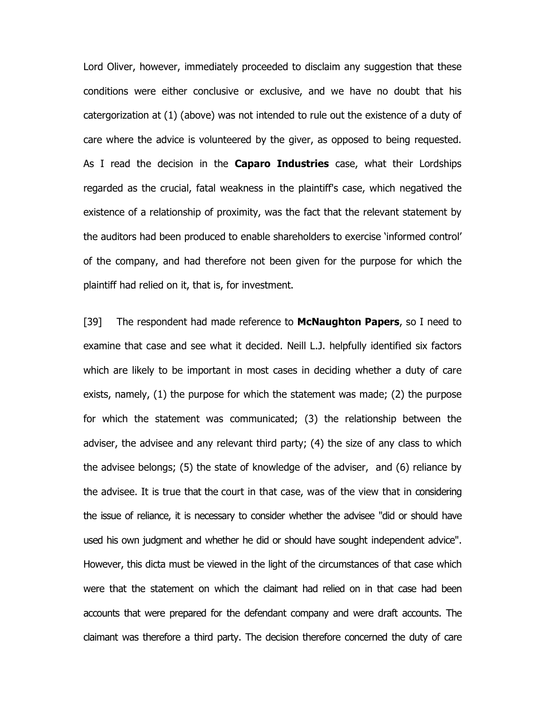Lord Oliver, however, immediately proceeded to disclaim any suggestion that these conditions were either conclusive or exclusive, and we have no doubt that his catergorization at (1) (above) was not intended to rule out the existence of a duty of care where the advice is volunteered by the giver, as opposed to being requested. As I read the decision in the **Caparo Industries** case, what their Lordships regarded as the crucial, fatal weakness in the plaintiff's case, which negatived the existence of a relationship of proximity, was the fact that the relevant statement by the auditors had been produced to enable shareholders to exercise 'informed control' of the company, and had therefore not been given for the purpose for which the plaintiff had relied on it, that is, for investment.

[39] The respondent had made reference to **McNaughton Papers**, so I need to examine that case and see what it decided. Neill L.J. helpfully identified six factors which are likely to be important in most cases in deciding whether a duty of care exists, namely, (1) the purpose for which the statement was made; (2) the purpose for which the statement was communicated; (3) the relationship between the adviser, the advisee and any relevant third party; (4) the size of any class to which the advisee belongs; (5) the state of knowledge of the adviser, and (6) reliance by the advisee. It is true that the court in that case, was of the view that in considering the issue of reliance, it is necessary to consider whether the advisee "did or should have used his own judgment and whether he did or should have sought independent advice". However, this dicta must be viewed in the light of the circumstances of that case which were that the statement on which the claimant had relied on in that case had been accounts that were prepared for the defendant company and were draft accounts. The claimant was therefore a third party. The decision therefore concerned the duty of care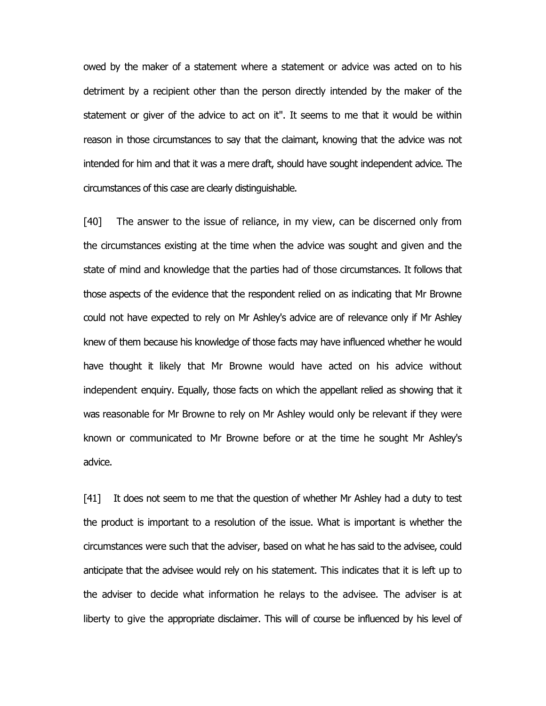owed by the maker of a statement where a statement or advice was acted on to his detriment by a recipient other than the person directly intended by the maker of the statement or giver of the advice to act on it". It seems to me that it would be within reason in those circumstances to say that the claimant, knowing that the advice was not intended for him and that it was a mere draft, should have sought independent advice. The circumstances of this case are clearly distinguishable.

[40] The answer to the issue of reliance, in my view, can be discerned only from the circumstances existing at the time when the advice was sought and given and the state of mind and knowledge that the parties had of those circumstances. It follows that those aspects of the evidence that the respondent relied on as indicating that Mr Browne could not have expected to rely on Mr Ashley's advice are of relevance only if Mr Ashley knew of them because his knowledge of those facts may have influenced whether he would have thought it likely that Mr Browne would have acted on his advice without independent enquiry. Equally, those facts on which the appellant relied as showing that it was reasonable for Mr Browne to rely on Mr Ashley would only be relevant if they were known or communicated to Mr Browne before or at the time he sought Mr Ashley's advice.

[41] It does not seem to me that the question of whether Mr Ashley had a duty to test the product is important to a resolution of the issue. What is important is whether the circumstances were such that the adviser, based on what he has said to the advisee, could anticipate that the advisee would rely on his statement. This indicates that it is left up to the adviser to decide what information he relays to the advisee. The adviser is at liberty to give the appropriate disclaimer. This will of course be influenced by his level of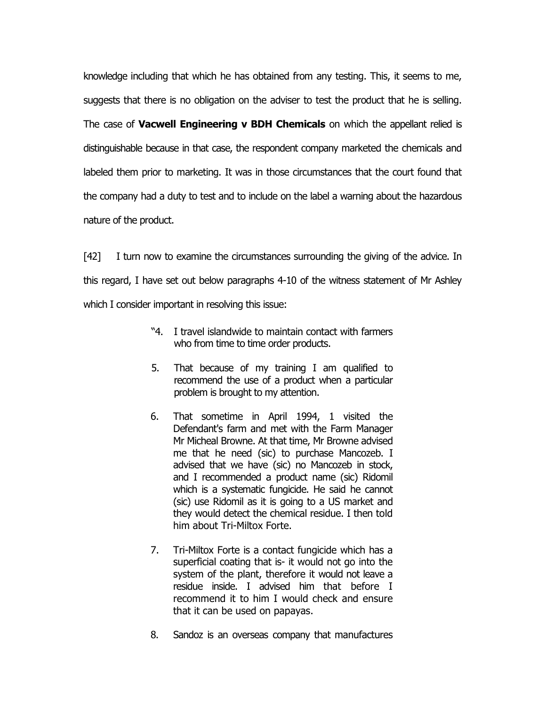knowledge including that which he has obtained from any testing. This, it seems to me, suggests that there is no obligation on the adviser to test the product that he is selling. The case of **Vacwell Engineering v BDH Chemicals** on which the appellant relied is distinguishable because in that case, the respondent company marketed the chemicals and labeled them prior to marketing. It was in those circumstances that the court found that the company had a duty to test and to include on the label a warning about the hazardous nature of the product.

[42] I turn now to examine the circumstances surrounding the giving of the advice. In this regard, I have set out below paragraphs 4-10 of the witness statement of Mr Ashley which I consider important in resolving this issue:

- "4. I travel islandwide to maintain contact with farmers who from time to time order products.
- 5. That because of my training I am qualified to recommend the use of a product when a particular problem is brought to my attention.
- 6. That sometime in April 1994, 1 visited the Defendant's farm and met with the Farm Manager Mr Micheal Browne. At that time, Mr Browne advised me that he need (sic) to purchase Mancozeb. I advised that we have (sic) no Mancozeb in stock, and I recommended a product name (sic) Ridomil which is a systematic fungicide. He said he cannot (sic) use Ridomil as it is going to a US market and they would detect the chemical residue. I then told him about Tri-Miltox Forte.
- 7. Tri-Miltox Forte is a contact fungicide which has a superficial coating that is- it would not go into the system of the plant, therefore it would not leave a residue inside. I advised him that before I recommend it to him I would check and ensure that it can be used on papayas.
- 8. Sandoz is an overseas company that manufactures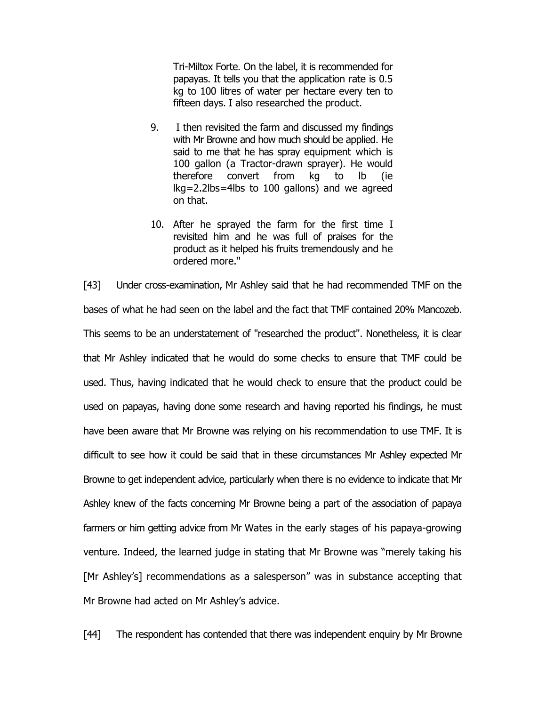Tri-Miltox Forte. On the label, it is recommended for papayas. It tells you that the application rate is 0.5 kg to 100 litres of water per hectare every ten to fifteen days. I also researched the product.

- 9. I then revisited the farm and discussed my findings with Mr Browne and how much should be applied. He said to me that he has spray equipment which is 100 gallon (a Tractor-drawn sprayer). He would therefore convert from kg to lb (ie lkg=2.2lbs=4lbs to 100 gallons) and we agreed on that.
- 10. After he sprayed the farm for the first time I revisited him and he was full of praises for the product as it helped his fruits tremendously and he ordered more."

[43] Under cross-examination, Mr Ashley said that he had recommended TMF on the bases of what he had seen on the label and the fact that TMF contained 20% Mancozeb. This seems to be an understatement of "researched the product". Nonetheless, it is clear that Mr Ashley indicated that he would do some checks to ensure that TMF could be used. Thus, having indicated that he would check to ensure that the product could be used on papayas, having done some research and having reported his findings, he must have been aware that Mr Browne was relying on his recommendation to use TMF. It is difficult to see how it could be said that in these circumstances Mr Ashley expected Mr Browne to get independent advice, particularly when there is no evidence to indicate that Mr Ashley knew of the facts concerning Mr Browne being a part of the association of papaya farmers or him getting advice from Mr Wates in the early stages of his papaya-growing venture. Indeed, the learned judge in stating that Mr Browne was "merely taking his [Mr Ashley's] recommendations as a salesperson" was in substance accepting that Mr Browne had acted on Mr Ashley's advice.

[44] The respondent has contended that there was independent enquiry by Mr Browne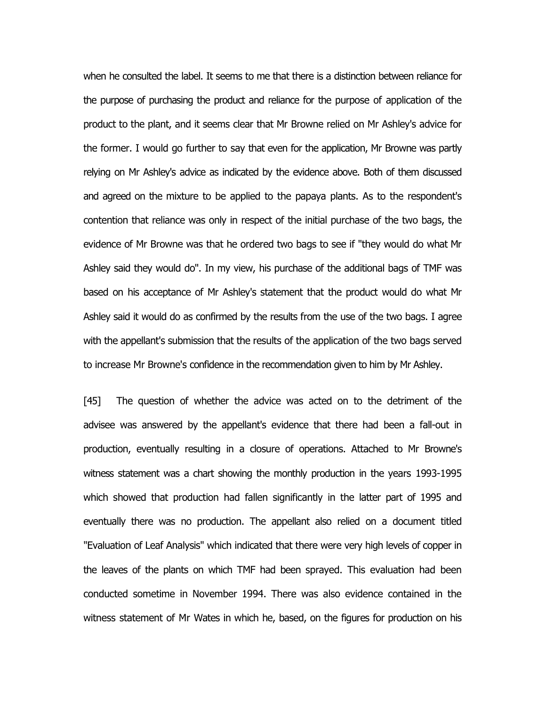when he consulted the label. It seems to me that there is a distinction between reliance for the purpose of purchasing the product and reliance for the purpose of application of the product to the plant, and it seems clear that Mr Browne relied on Mr Ashley's advice for the former. I would go further to say that even for the application, Mr Browne was partly relying on Mr Ashley's advice as indicated by the evidence above. Both of them discussed and agreed on the mixture to be applied to the papaya plants. As to the respondent's contention that reliance was only in respect of the initial purchase of the two bags, the evidence of Mr Browne was that he ordered two bags to see if "they would do what Mr Ashley said they would do". In my view, his purchase of the additional bags of TMF was based on his acceptance of Mr Ashley's statement that the product would do what Mr Ashley said it would do as confirmed by the results from the use of the two bags. I agree with the appellant's submission that the results of the application of the two bags served to increase Mr Browne's confidence in the recommendation given to him by Mr Ashley.

[45] The question of whether the advice was acted on to the detriment of the advisee was answered by the appellant's evidence that there had been a fall-out in production, eventually resulting in a closure of operations. Attached to Mr Browne's witness statement was a chart showing the monthly production in the years 1993-1995 which showed that production had fallen significantly in the latter part of 1995 and eventually there was no production. The appellant also relied on a document titled "Evaluation of Leaf Analysis" which indicated that there were very high levels of copper in the leaves of the plants on which TMF had been sprayed. This evaluation had been conducted sometime in November 1994. There was also evidence contained in the witness statement of Mr Wates in which he, based, on the figures for production on his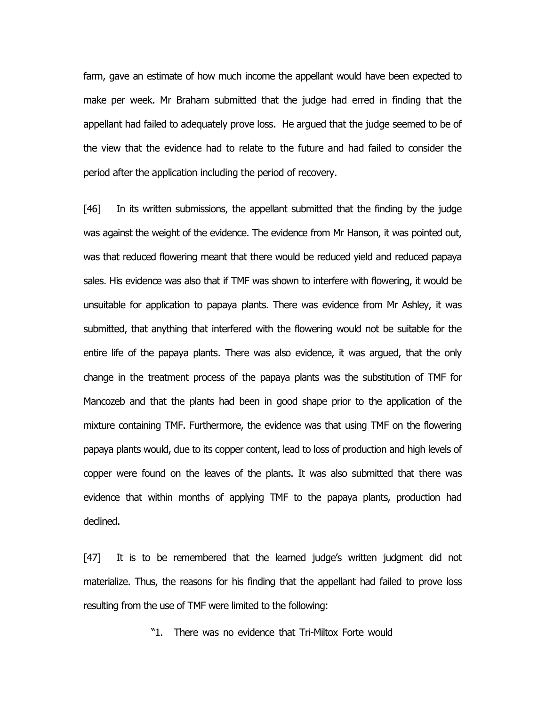farm, gave an estimate of how much income the appellant would have been expected to make per week. Mr Braham submitted that the judge had erred in finding that the appellant had failed to adequately prove loss. He argued that the judge seemed to be of the view that the evidence had to relate to the future and had failed to consider the period after the application including the period of recovery.

[46] In its written submissions, the appellant submitted that the finding by the judge was against the weight of the evidence. The evidence from Mr Hanson, it was pointed out, was that reduced flowering meant that there would be reduced yield and reduced papaya sales. His evidence was also that if TMF was shown to interfere with flowering, it would be unsuitable for application to papaya plants. There was evidence from Mr Ashley, it was submitted, that anything that interfered with the flowering would not be suitable for the entire life of the papaya plants. There was also evidence, it was argued, that the only change in the treatment process of the papaya plants was the substitution of TMF for Mancozeb and that the plants had been in good shape prior to the application of the mixture containing TMF. Furthermore, the evidence was that using TMF on the flowering papaya plants would, due to its copper content, lead to loss of production and high levels of copper were found on the leaves of the plants. It was also submitted that there was evidence that within months of applying TMF to the papaya plants, production had declined.

[47] It is to be remembered that the learned judge's written judgment did not materialize. Thus, the reasons for his finding that the appellant had failed to prove loss resulting from the use of TMF were limited to the following:

"1. There was no evidence that Tri-Miltox Forte would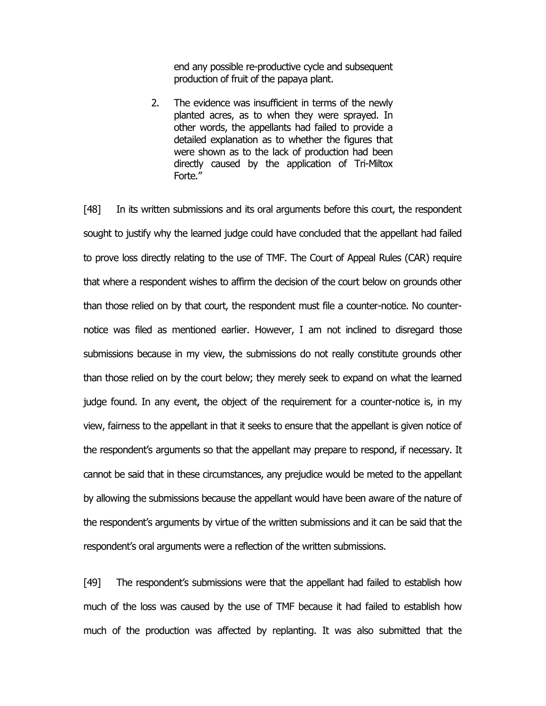end any possible re-productive cycle and subsequent production of fruit of the papaya plant.

2. The evidence was insufficient in terms of the newly planted acres, as to when they were sprayed. In other words, the appellants had failed to provide a detailed explanation as to whether the figures that were shown as to the lack of production had been directly caused by the application of Tri-Miltox Forte."

[48] In its written submissions and its oral arguments before this court, the respondent sought to justify why the learned judge could have concluded that the appellant had failed to prove loss directly relating to the use of TMF. The Court of Appeal Rules (CAR) require that where a respondent wishes to affirm the decision of the court below on grounds other than those relied on by that court, the respondent must file a counter-notice. No counternotice was filed as mentioned earlier. However, I am not inclined to disregard those submissions because in my view, the submissions do not really constitute grounds other than those relied on by the court below; they merely seek to expand on what the learned judge found. In any event, the object of the requirement for a counter-notice is, in my view, fairness to the appellant in that it seeks to ensure that the appellant is given notice of the respondent's arguments so that the appellant may prepare to respond, if necessary. It cannot be said that in these circumstances, any prejudice would be meted to the appellant by allowing the submissions because the appellant would have been aware of the nature of the respondent's arguments by virtue of the written submissions and it can be said that the respondent's oral arguments were a reflection of the written submissions.

[49] The respondent's submissions were that the appellant had failed to establish how much of the loss was caused by the use of TMF because it had failed to establish how much of the production was affected by replanting. It was also submitted that the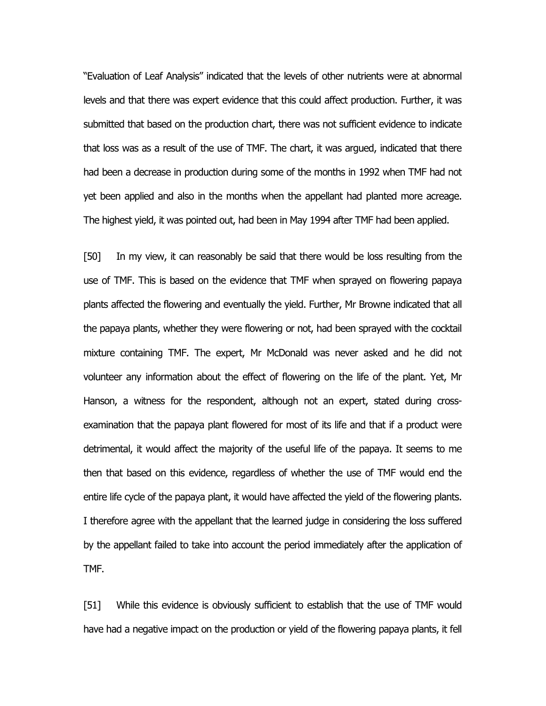"Evaluation of Leaf Analysis" indicated that the levels of other nutrients were at abnormal levels and that there was expert evidence that this could affect production. Further, it was submitted that based on the production chart, there was not sufficient evidence to indicate that loss was as a result of the use of TMF. The chart, it was argued, indicated that there had been a decrease in production during some of the months in 1992 when TMF had not yet been applied and also in the months when the appellant had planted more acreage. The highest yield, it was pointed out, had been in May 1994 after TMF had been applied.

[50] In my view, it can reasonably be said that there would be loss resulting from the use of TMF. This is based on the evidence that TMF when sprayed on flowering papaya plants affected the flowering and eventually the yield. Further, Mr Browne indicated that all the papaya plants, whether they were flowering or not, had been sprayed with the cocktail mixture containing TMF. The expert, Mr McDonald was never asked and he did not volunteer any information about the effect of flowering on the life of the plant. Yet, Mr Hanson, a witness for the respondent, although not an expert, stated during crossexamination that the papaya plant flowered for most of its life and that if a product were detrimental, it would affect the majority of the useful life of the papaya. It seems to me then that based on this evidence, regardless of whether the use of TMF would end the entire life cycle of the papaya plant, it would have affected the yield of the flowering plants. I therefore agree with the appellant that the learned judge in considering the loss suffered by the appellant failed to take into account the period immediately after the application of TMF.

[51] While this evidence is obviously sufficient to establish that the use of TMF would have had a negative impact on the production or yield of the flowering papaya plants, it fell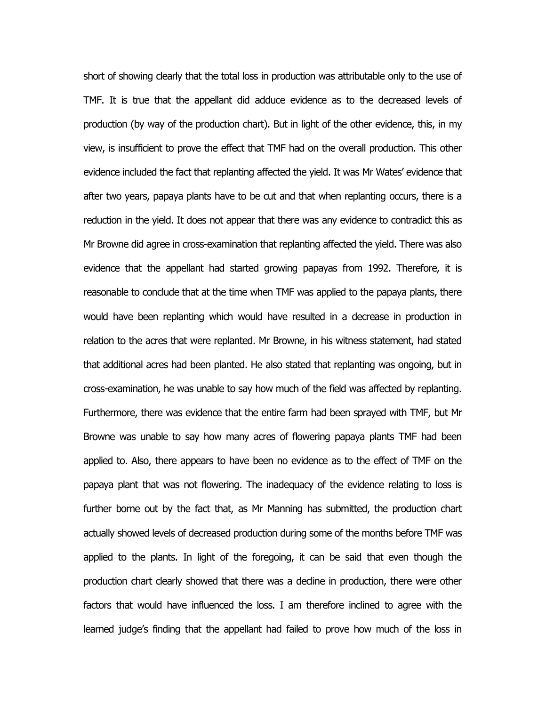short of showing clearly that the total loss in production was attributable only to the use of TMF. It is true that the appellant did adduce evidence as to the decreased levels of production (by way of the production chart). But in light of the other evidence, this, in my view, is insufficient to prove the effect that TMF had on the overall production. This other evidence included the fact that replanting affected the yield. It was Mr Wates' evidence that after two years, papaya plants have to be cut and that when replanting occurs, there is a reduction in the yield. It does not appear that there was any evidence to contradict this as Mr Browne did agree in cross-examination that replanting affected the yield. There was also evidence that the appellant had started growing papayas from 1992. Therefore, it is reasonable to conclude that at the time when TMF was applied to the papaya plants, there would have been replanting which would have resulted in a decrease in production in relation to the acres that were replanted. Mr Browne, in his witness statement, had stated that additional acres had been planted. He also stated that replanting was ongoing, but in cross-examination, he was unable to say how much of the field was affected by replanting. Furthermore, there was evidence that the entire farm had been sprayed with TMF, but Mr Browne was unable to say how many acres of flowering papaya plants TMF had been applied to. Also, there appears to have been no evidence as to the effect of TMF on the papaya plant that was not flowering. The inadequacy of the evidence relating to loss is further borne out by the fact that, as Mr Manning has submitted, the production chart actually showed levels of decreased production during some of the months before TMF was applied to the plants. In light of the foregoing, it can be said that even though the production chart clearly showed that there was a decline in production, there were other factors that would have influenced the loss. I am therefore inclined to agree with the learned judge's finding that the appellant had failed to prove how much of the loss in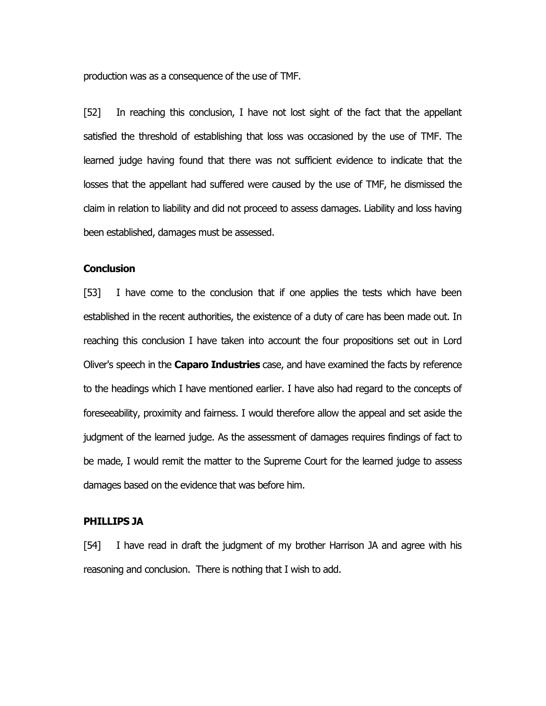production was as a consequence of the use of TMF.

[52] In reaching this conclusion, I have not lost sight of the fact that the appellant satisfied the threshold of establishing that loss was occasioned by the use of TMF. The learned judge having found that there was not sufficient evidence to indicate that the losses that the appellant had suffered were caused by the use of TMF, he dismissed the claim in relation to liability and did not proceed to assess damages. Liability and loss having been established, damages must be assessed.

#### **Conclusion**

[53] I have come to the conclusion that if one applies the tests which have been established in the recent authorities, the existence of a duty of care has been made out. In reaching this conclusion I have taken into account the four propositions set out in Lord Oliver's speech in the **Caparo Industries** case, and have examined the facts by reference to the headings which I have mentioned earlier. I have also had regard to the concepts of foreseeability, proximity and fairness. I would therefore allow the appeal and set aside the judgment of the learned judge. As the assessment of damages requires findings of fact to be made, I would remit the matter to the Supreme Court for the learned judge to assess damages based on the evidence that was before him.

#### PHILLIPS JA

[54] I have read in draft the judgment of my brother Harrison JA and agree with his reasoning and conclusion. There is nothing that I wish to add.